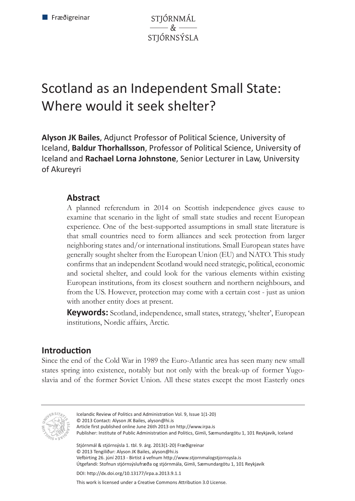STJÓRNMÁL  $\mathcal{R}_{\tau}$ **STIÓRNSÝSLA** 

# Scotland as an Independent Small State: Where would it seek shelter?

**Alyson JK Bailes**, Adjunct Professor of Political Science, University of Iceland, **Baldur Thorhallsson**, Professor of Political Science, University of Iceland and **Rachael Lorna Johnstone**, Senior Lecturer in Law, University of Akureyri

# **Abstract**

A planned referendum in 2014 on Scottish independence gives cause to examine that scenario in the light of small state studies and recent European experience. One of the best-supported assumptions in small state literature is that small countries need to form alliances and seek protection from larger neighboring states and/or international institutions. Small European states have generally sought shelter from the European Union (EU) and NATO. This study confirms that an independent Scotland would need strategic, political, economic and societal shelter, and could look for the various elements within existing European institutions, from its closest southern and northern neighbours, and from the US. However, protection may come with a certain cost - just as union with another entity does at present.

**Keywords:** Scotland, independence, small states, strategy, 'shelter', European institutions, Nordic affairs, Arctic.

# **Introduction**

Since the end of the Cold War in 1989 the Euro-Atlantic area has seen many new small states spring into existence, notably but not only with the break-up of former Yugoslavia and of the former Soviet Union. All these states except the most Easterly ones



Icelandic Review of Politics and Administration Vol. 9, Issue 1(1-20) © 2013 Contact: Alyson JK Bailes, alyson@hi.is Article first published online June 26th 2013 on http://www.irpa.is Publisher: Institute of Public Administration and Politics, Gimli, Sæmundargötu 1, 101 Reykjavík, Iceland Stjórnmál & stjórnsýsla 1. tbl. 9. árg. 2013(1-20) Fræðigreinar © 2013 Tengiliður: Alyson JK Bailes, alyson@hi.is Vefbirting 26. júní 2013 - Birtist á vefnum http://www.stjornmalogstjornsysla.is Útgefandi: Stofnun stjórnsýslufræða og stjórnmála, Gimli, Sæmundargötu 1, 101 Reykjavík DOI: http://dx.doi.org/10.13177/irpa.a.2013.9.1.1

This work is licensed under a Creative Commons Attribution 3.0 License.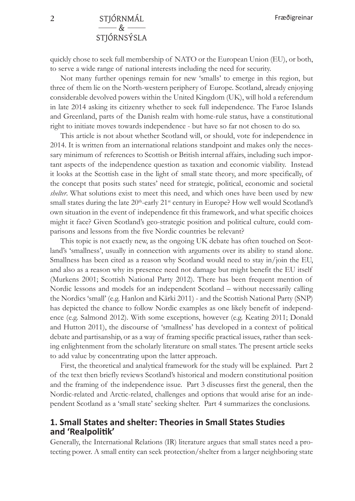# **2** STJÓRNMÁL  $\&$   $-$ STJÓRNSÝSLA

quickly chose to seek full membership of NATO or the European Union (EU), or both, to serve a wide range of national interests including the need for security.

Not many further openings remain for new 'smalls' to emerge in this region, but three of them lie on the North-western periphery of Europe. Scotland, already enjoying considerable devolved powers within the United Kingdom (UK), will hold a referendum in late 2014 asking its citizenry whether to seek full independence. The Faroe Islands and Greenland, parts of the Danish realm with home-rule status, have a constitutional right to initiate moves towards independence - but have so far not chosen to do so.

This article is not about whether Scotland will, or should, vote for independence in 2014. It is written from an international relations standpoint and makes only the necessary minimum of references to Scottish or British internal affairs, including such important aspects of the independence question as taxation and economic viability. Instead it looks at the Scottish case in the light of small state theory, and more specifically, of the concept that posits such states' need for strategic, political, economic and societal *shelter*. What solutions exist to meet this need, and which ones have been used by new small states during the late  $20<sup>th</sup>$ -early  $21<sup>st</sup>$  century in Europe? How well would Scotland's own situation in the event of independence fit this framework, and what specific choices might it face? Given Scotland's geo-strategic position and political culture, could comparisons and lessons from the five Nordic countries be relevant?

This topic is not exactly new, as the ongoing UK debate has often touched on Scotland's 'smallness', usually in connection with arguments over its ability to stand alone. Smallness has been cited as a reason why Scotland would need to stay in/join the EU, and also as a reason why its presence need not damage but might benefit the EU itself (Murkens 2001; Scottish National Party 2012). There has been frequent mention of Nordic lessons and models for an independent Scotland – without necessarily calling the Nordics 'small' (e.g. Hanlon and Kärki 2011) - and the Scottish National Party (SNP) has depicted the chance to follow Nordic examples as one likely benefit of independence (e.g. Salmond 2012). With some exceptions, however (e.g. Keating 2011; Donald and Hutton 2011), the discourse of 'smallness' has developed in a context of political debate and partisanship, or as a way of framing specific practical issues, rather than seeking enlightenment from the scholarly literature on small states. The present article seeks to add value by concentrating upon the latter approach.

First, the theoretical and analytical framework for the study will be explained. Part 2 of the text then briefly reviews Scotland's historical and modern constitutional position and the framing of the independence issue. Part 3 discusses first the general, then the Nordic-related and Arctic-related, challenges and options that would arise for an independent Scotland as a 'small state' seeking shelter. Part 4 summarizes the conclusions.

#### **1. Small States and shelter: Theories in Small States Studies and 'Realpolitik'**

Generally, the International Relations (IR) literature argues that small states need a protecting power. A small entity can seek protection/shelter from a larger neighboring state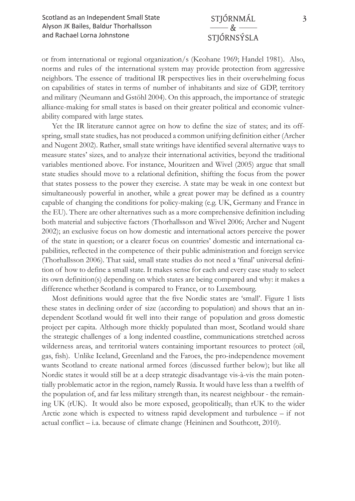#### STJÓRNMÁL  $-\mathcal{R}$ STJÓRNSÝSLA

or from international or regional organization/s (Keohane 1969; Handel 1981). Also, norms and rules of the international system may provide protection from aggressive neighbors. The essence of traditional IR perspectives lies in their overwhelming focus on capabilities of states in terms of number of inhabitants and size of GDP, territory and military (Neumann and Gstöhl 2004). On this approach, the importance of strategic alliance-making for small states is based on their greater political and economic vulnerability compared with large states.

Yet the IR literature cannot agree on how to define the size of states; and its offspring, small state studies, has not produced a common unifying definition either (Archer and Nugent 2002). Rather, small state writings have identified several alternative ways to measure states' sizes, and to analyze their international activities, beyond the traditional variables mentioned above. For instance, Mouritzen and Wivel (2005) argue that small state studies should move to a relational definition, shifting the focus from the power that states possess to the power they exercise. A state may be weak in one context but simultaneously powerful in another, while a great power may be defined as a country capable of changing the conditions for policy-making (e.g. UK, Germany and France in the EU). There are other alternatives such as a more comprehensive definition including both material and subjective factors (Thorhallsson and Wivel 2006; Archer and Nugent 2002); an exclusive focus on how domestic and international actors perceive the power of the state in question; or a clearer focus on countries' domestic and international capabilities, reflected in the competence of their public administration and foreign service (Thorhallsson 2006). That said, small state studies do not need a 'final' universal definition of how to define a small state. It makes sense for each and every case study to select its own definition(s) depending on which states are being compared and why: it makes a difference whether Scotland is compared to France, or to Luxembourg.

Most definitions would agree that the five Nordic states are 'small'. Figure 1 lists these states in declining order of size (according to population) and shows that an independent Scotland would fit well into their range of population and gross domestic project per capita. Although more thickly populated than most, Scotland would share the strategic challenges of a long indented coastline, communications stretched across wilderness areas, and territorial waters containing important resources to protect (oil, gas, fish). Unlike Iceland, Greenland and the Faroes, the pro-independence movement wants Scotland to create national armed forces (discussed further below); but like all Nordic states it would still be at a deep strategic disadvantage vis-à-vis the main potentially problematic actor in the region, namely Russia. It would have less than a twelfth of the population of, and far less military strength than, its nearest neighbour - the remaining UK (rUK). It would also be more exposed, geopolitically, than rUK to the wider Arctic zone which is expected to witness rapid development and turbulence – if not actual conflict – i.a. because of climate change (Heininen and Southcott, 2010).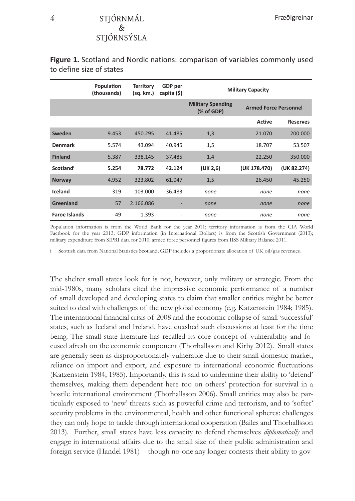## **4** STJÓRNMÁL  $-\kappa$ **STIÓRNSÝSLA**

|                      | Population<br>(thousands) | <b>Territory</b><br>(sg. km.) | <b>GDP</b> per<br>capita (\$) | <b>Military Capacity</b>                                               |              |                 |
|----------------------|---------------------------|-------------------------------|-------------------------------|------------------------------------------------------------------------|--------------|-----------------|
|                      |                           |                               |                               | <b>Military Spending</b><br><b>Armed Force Personnel</b><br>(% of GDP) |              |                 |
|                      |                           |                               |                               |                                                                        | Active       | <b>Reserves</b> |
| Sweden               | 9.453                     | 450.295                       | 41.485                        | 1,3                                                                    | 21.070       | 200.000         |
| <b>Denmark</b>       | 5.574                     | 43.094                        | 40.945                        | 1,5                                                                    | 18.707       | 53.507          |
| <b>Finland</b>       | 5.387                     | 338.145                       | 37.485                        | 1,4                                                                    | 22.250       | 350.000         |
| Scotland             | 5.254                     | 78.772                        | 42.124                        | (UK 2, 6)                                                              | (UK 178.470) | (UK 82.274)     |
| <b>Norway</b>        | 4.952                     | 323.802                       | 61.047                        | 1,5                                                                    | 26.450       | 45.250          |
| Iceland              | 319                       | 103.000                       | 36.483                        | none                                                                   | none         | none            |
| Greenland            | 57                        | 2.166.086                     | ٠                             | none                                                                   | none         | none            |
| <b>Faroe Islands</b> | 49                        | 1.393                         | $\qquad \qquad \blacksquare$  | none                                                                   | none         | none            |

**Figure 1.** Scotland and Nordic nations: comparison of variables commonly used to define size of states

Population information is from the World Bank for the year 2011; territory information is from the CIA World Factbook for the year 2013; GDP information (in International Dollars) is from the Scottish Government (2013); military expenditure from SIPRI data for 2010; armed force personnel figures from IISS Military Balance 2011.

i Scottish data from National Statistics Scotland; GDP includes a proportionate allocation of UK oil/gas revenues.

The shelter small states look for is not, however, only military or strategic. From the mid-1980s, many scholars cited the impressive economic performance of a number of small developed and developing states to claim that smaller entities might be better suited to deal with challenges of the new global economy (e.g. Katzenstein 1984; 1985). The international financial crisis of 2008 and the economic collapse of small 'successful' states, such as Iceland and Ireland, have quashed such discussions at least for the time being. The small state literature has recalled its core concept of vulnerability and focused afresh on the economic component (Thorhallsson and Kirby 2012). Small states are generally seen as disproportionately vulnerable due to their small domestic market, reliance on import and export, and exposure to international economic fluctuations (Katzenstein 1984; 1985). Importantly, this is said to undermine their ability to 'defend' themselves, making them dependent here too on others' protection for survival in a hostile international environment (Thorhallsson 2006). Small entities may also be particularly exposed to 'new' threats such as powerful crime and terrorism, and to 'softer' security problems in the environmental, health and other functional spheres: challenges they can only hope to tackle through international cooperation (Bailes and Thorhallsson 2013). Further, small states have less capacity to defend themselves *diplomatically* and engage in international affairs due to the small size of their public administration and foreign service (Handel 1981) - though no-one any longer contests their ability to gov-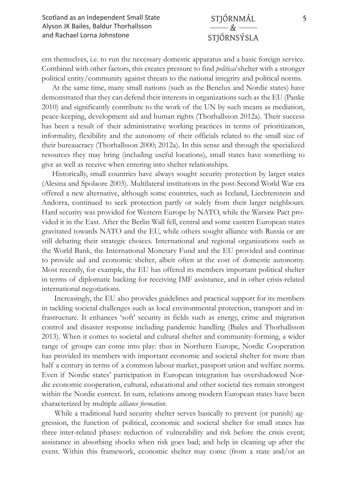ern themselves, i.e. to run the necessary domestic apparatus and a basic foreign service. Combined with other factors, this creates pressure to find *political* shelter with a stronger political entity/community against threats to the national integrity and political norms.

At the same time, many small nations (such as the Benelux and Nordic states) have demonstrated that they can defend their interests in organizations such as the EU (Panke 2010) and significantly contribute to the work of the UN by such means as mediation, peace-keeping, development aid and human rights (Thorhallsson 2012a). Their success has been a result of their administrative working practices in terms of prioritization, informality, flexibility and the autonomy of their officials related to the small size of their bureaucracy (Thorhallsson 2000; 2012a). In this sense and through the specialized resources they may bring (including useful locations), small states have something to give as well as receive when entering into shelter relationships.

Historically, small countries have always sought security protection by larger states (Alesina and Spolaore 2003). Multilateral institutions in the post-Second World War era offered a new alternative, although some countries, such as Iceland, Liechtenstein and Andorra, continued to seek protection partly or solely from their larger neighbours. Hard security was provided for Western Europe by NATO, while the Warsaw Pact provided it in the East. After the Berlin Wall fell, central and some eastern European states gravitated towards NATO and the EU, while others sought alliance with Russia or are still debating their strategic choices. International and regional organizations such as the World Bank, the International Monetary Fund and the EU provided and continue to provide aid and economic shelter, albeit often at the cost of domestic autonomy. Most recently, for example, the EU has offered its members important political shelter in terms of diplomatic backing for receiving IMF assistance, and in other crisis-related international negotiations.

 Increasingly, the EU also provides guidelines and practical support for its members in tackling societal challenges such as local environmental protection, transport and infrastructure. It enhances 'soft' security in fields such as energy, crime and migration control and disaster response including pandemic handling (Bailes and Thorhallsson 2013). When it comes to societal and cultural shelter and community-forming, a wider range of groups can come into play: thus in Northern Europe, Nordic Cooperation has provided its members with important economic and societal shelter for more than half a century in terms of a common labour market, passport union and welfare norms. Even if Nordic states' participation in European integration has overshadowed Nordic economic cooperation, cultural, educational and other societal ties remain strongest within the Nordic context. In sum, relations among modern European states have been characterized by multiple *alliance formation*.

 While a traditional hard security shelter serves basically to prevent (or punish) aggression, the function of political, economic and societal shelter for small states has three inter-related phases: reduction of vulnerability and risk before the crisis event; assistance in absorbing shocks when risk goes bad; and help in cleaning up after the event. Within this framework, economic shelter may come (from a state and/or an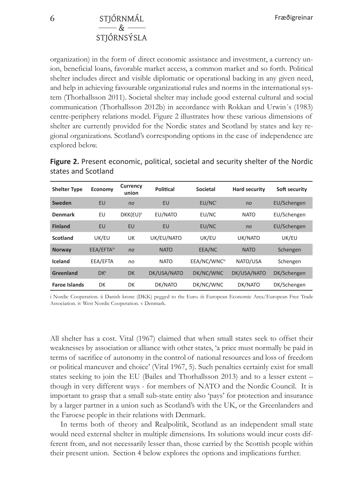# **6** STJÓRNMÁL  $-\kappa$ **STIÓRNSÝSLA**

organization) in the form of direct economic assistance and investment, a currency union, beneficial loans, favorable market access, a common market and so forth. Political shelter includes direct and visible diplomatic or operational backing in any given need, and help in achieving favourable organizational rules and norms in the international system (Thorhallsson 2011). Societal shelter may include good external cultural and social communication (Thorhallsson 2012b) in accordance with Rokkan and Urwin´s (1983) centre-periphery relations model. Figure 2 illustrates how these various dimensions of shelter are currently provided for the Nordic states and Scotland by states and key regional organizations. Scotland's corresponding options in the case of independence are explored below.

| <b>Shelter Type</b>  | Economy         | Currency<br>union     | Political   | Societal     | <b>Hard security</b> | Soft security |
|----------------------|-----------------|-----------------------|-------------|--------------|----------------------|---------------|
| Sweden               | EU              | no                    | EU          | EU/NC        | no                   | EU/Schengen   |
| <b>Denmark</b>       | EU              | DKK(EU) <sup>ii</sup> | EU/NATO     | EU/NC        | <b>NATO</b>          | EU/Schengen   |
| <b>Finland</b>       | EU              | EU                    | EU          | EU/NC        | no                   | EU/Schengen   |
| Scotland             | UK/EU           | UK                    | UK/EU/NATO  | UK/EU        | UK/NATO              | UK/EU         |
| Norway               | EEA/EFTAiii     | no                    | <b>NATO</b> | EEA/NC       | <b>NATO</b>          | Schengen      |
| Iceland              | EEA/EFTA        | no                    | <b>NATO</b> | EEA/NC/WNCiv | NATO/USA             | Schengen      |
| Greenland            | DK <sup>v</sup> | <b>DK</b>             | DK/USA/NATO | DK/NC/WNC    | DK/USA/NATO          | DK/Schengen   |
| <b>Faroe Islands</b> | DK              | DK                    | DK/NATO     | DK/NC/WNC    | DK/NATO              | DK/Schengen   |

**Figure 2.** Present economic, political, societal and security shelter of the Nordic states and Scotland

i Nordic Cooperation. ii Danish krone (DKK) pegged to the Euro. iii European Economic Area/European Free Trade Association. iv West Nordic Cooperation. v Denmark.

All shelter has a cost. Vital (1967) claimed that when small states seek to offset their weaknesses by association or alliance with other states, 'a price must normally be paid in terms of sacrifice of autonomy in the control of national resources and loss of freedom or political maneuver and choice' (Vital 1967, 5). Such penalties certainly exist for small states seeking to join the EU (Bailes and Thorhallsson 2013) and to a lesser extent – though in very different ways - for members of NATO and the Nordic Council. It is important to grasp that a small sub-state entity also 'pays' for protection and insurance by a larger partner in a union such as Scotland's with the UK, or the Greenlanders and the Faroese people in their relations with Denmark.

In terms both of theory and Realpolitik, Scotland as an independent small state would need external shelter in multiple dimensions. Its solutions would incur costs different from, and not necessarily lesser than, those carried by the Scottish people within their present union. Section 4 below explores the options and implications further.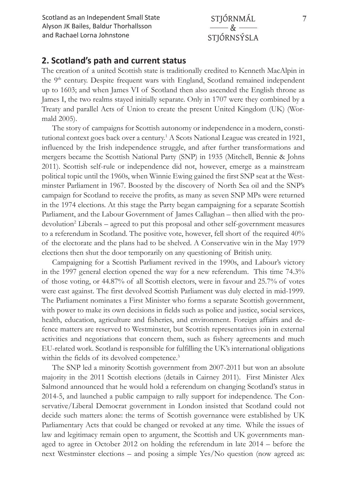Scotland as an Independent Small State **7** Alyson JK Bailes, Baldur Thorhallsson and Rachael Lorna Johnstone

#### STJÓRNMÁL  $-\mathcal{R}$ STJÓRNSÝSLA

#### **2. Scotland's path and current status**

The creation of a united Scottish state is traditionally credited to Kenneth MacAlpin in the 9<sup>th</sup> century. Despite frequent wars with England, Scotland remained independent up to 1603; and when James VI of Scotland then also ascended the English throne as James I, the two realms stayed initially separate. Only in 1707 were they combined by a Treaty and parallel Acts of Union to create the present United Kingdom (UK) (Wormald 2005).

The story of campaigns for Scottish autonomy or independence in a modern, constitutional context goes back over a century.<sup>1</sup> A Scots National League was created in 1921, influenced by the Irish independence struggle, and after further transformations and mergers became the Scottish National Party (SNP) in 1935 (Mitchell, Bennie & Johns 2011). Scottish self-rule or independence did not, however, emerge as a mainstream political topic until the 1960s, when Winnie Ewing gained the first SNP seat at the Westminster Parliament in 1967. Boosted by the discovery of North Sea oil and the SNP's campaign for Scotland to receive the profits, as many as seven SNP MPs were returned in the 1974 elections. At this stage the Party began campaigning for a separate Scottish Parliament, and the Labour Government of James Callaghan – then allied with the prodevolution<sup>2</sup> Liberals - agreed to put this proposal and other self-government measures to a referendum in Scotland. The positive vote, however, fell short of the required 40% of the electorate and the plans had to be shelved. A Conservative win in the May 1979 elections then shut the door temporarily on any questioning of British unity.

Campaigning for a Scottish Parliament revived in the 1990s, and Labour's victory in the 1997 general election opened the way for a new referendum. This time 74.3% of those voting, or 44.87% of all Scottish electors, were in favour and 25.7% of votes were cast against. The first devolved Scottish Parliament was duly elected in mid-1999. The Parliament nominates a First Minister who forms a separate Scottish government, with power to make its own decisions in fields such as police and justice, social services, health, education, agriculture and fisheries, and environment. Foreign affairs and defence matters are reserved to Westminster, but Scottish representatives join in external activities and negotiations that concern them, such as fishery agreements and much EU-related work. Scotland is responsible for fulfilling the UK's international obligations within the fields of its devolved competence.<sup>3</sup>

The SNP led a minority Scottish government from 2007-2011 but won an absolute majority in the 2011 Scottish elections (details in Cairney 2011). First Minister Alex Salmond announced that he would hold a referendum on changing Scotland's status in 2014-5, and launched a public campaign to rally support for independence. The Conservative/Liberal Democrat government in London insisted that Scotland could not decide such matters alone: the terms of Scottish governance were established by UK Parliamentary Acts that could be changed or revoked at any time. While the issues of law and legitimacy remain open to argument, the Scottish and UK governments managed to agree in October 2012 on holding the referendum in late 2014 – before the next Westminster elections – and posing a simple Yes/No question (now agreed as: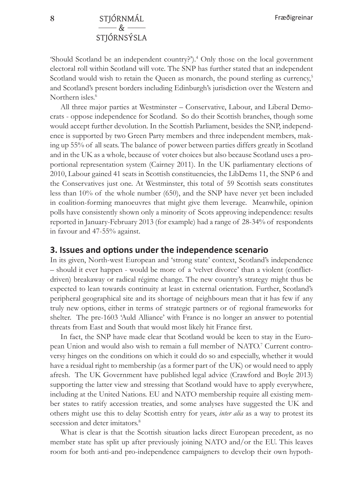'Should Scotland be an independent country?').4 Only those on the local government electoral roll within Scotland will vote. The SNP has further stated that an independent Scotland would wish to retain the Queen as monarch, the pound sterling as currency,<sup>5</sup> and Scotland's present borders including Edinburgh's jurisdiction over the Western and Northern isles.<sup>6</sup>

All three major parties at Westminster – Conservative, Labour, and Liberal Democrats - oppose independence for Scotland. So do their Scottish branches, though some would accept further devolution. In the Scottish Parliament, besides the SNP, independence is supported by two Green Party members and three independent members, making up 55% of all seats. The balance of power between parties differs greatly in Scotland and in the UK as a whole, because of voter choices but also because Scotland uses a proportional representation system (Cairney 2011). In the UK parliamentary elections of 2010, Labour gained 41 seats in Scottish constituencies, the LibDems 11, the SNP 6 and the Conservatives just one. At Westminster, this total of 59 Scottish seats constitutes less than 10% of the whole number (650), and the SNP have never yet been included in coalition-forming manoeuvres that might give them leverage. Meanwhile, opinion polls have consistently shown only a minority of Scots approving independence: results reported in January-February 2013 (for example) had a range of 28-34% of respondents in favour and 47-55% against.

#### **3. Issues and options under the independence scenario**

In its given, North-west European and 'strong state' context, Scotland's independence – should it ever happen - would be more of a 'velvet divorce' than a violent (conflictdriven) breakaway or radical régime change. The new country's strategy might thus be expected to lean towards continuity at least in external orientation. Further, Scotland's peripheral geographical site and its shortage of neighbours mean that it has few if any truly new options, either in terms of strategic partners or of regional frameworks for shelter. The pre-1603 'Auld Alliance' with France is no longer an answer to potential threats from East and South that would most likely hit France first.

In fact, the SNP have made clear that Scotland would be keen to stay in the European Union and would also wish to remain a full member of NATO.<sup>7</sup> Current controversy hinges on the conditions on which it could do so and especially, whether it would have a residual right to membership (as a former part of the UK) or would need to apply afresh. The UK Government have published legal advice (Crawford and Boyle 2013) supporting the latter view and stressing that Scotland would have to apply everywhere, including at the United Nations. EU and NATO membership require all existing member states to ratify accession treaties, and some analyses have suggested the UK and others might use this to delay Scottish entry for years, *inter alia* as a way to protest its secession and deter imitators.<sup>8</sup>

What is clear is that the Scottish situation lacks direct European precedent, as no member state has split up after previously joining NATO and/or the EU. This leaves room for both anti-and pro-independence campaigners to develop their own hypoth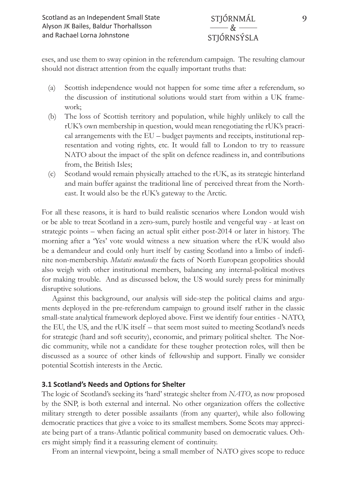eses, and use them to sway opinion in the referendum campaign. The resulting clamour should not distract attention from the equally important truths that:

- (a) Scottish independence would not happen for some time after a referendum, so the discussion of institutional solutions would start from within a UK framework;
- (b) The loss of Scottish territory and population, while highly unlikely to call the rUK's own membership in question, would mean renegotiating the rUK's pracrical arrangements with the EU – budget payments and receipts, institutional representation and voting rights, etc. It would fall to London to try to reassure NATO about the impact of the split on defence readiness in, and contributions from, the British Isles;
- (c) Scotland would remain physically attached to the rUK, as its strategic hinterland and main buffer against the traditional line of perceived threat from the Northeast. It would also be the rUK's gateway to the Arctic.

For all these reasons, it is hard to build realistic scenarios where London would wish or be able to treat Scotland in a zero-sum, purely hostile and vengeful way - at least on strategic points – when facing an actual split either post-2014 or later in history. The morning after a 'Yes' vote would witness a new situation where the rUK would also be a demandeur and could only hurt itself by casting Scotland into a limbo of indefinite non-membership. *Mutatis mutandis* the facts of North European geopolitics should also weigh with other institutional members, balancing any internal-political motives for making trouble. And as discussed below, the US would surely press for minimally disruptive solutions.

Against this background, our analysis will side-step the political claims and arguments deployed in the pre-referendum campaign to ground itself rather in the classic small-state analytical framework deployed above. First we identify four entities - NATO, the EU, the US, and the rUK itself – that seem most suited to meeting Scotland's needs for strategic (hard and soft security), economic, and primary political shelter. The Nordic community, while not a candidate for these tougher protection roles, will then be discussed as a source of other kinds of fellowship and support. Finally we consider potential Scottish interests in the Arctic.

#### **3.1 Scotland's Needs and Options for Shelter**

The logic of Scotland's seeking its 'hard' strategic shelter from *NATO*, as now proposed by the SNP, is both external and internal. No other organization offers the collective military strength to deter possible assailants (from any quarter), while also following democratic practices that give a voice to its smallest members. Some Scots may appreciate being part of a trans-Atlantic political community based on democratic values. Others might simply find it a reassuring element of continuity.

From an internal viewpoint, being a small member of NATO gives scope to reduce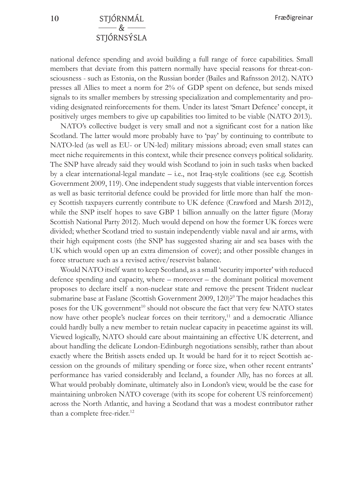national defence spending and avoid building a full range of force capabilities. Small members that deviate from this pattern normally have special reasons for threat-consciousness - such as Estonia, on the Russian border (Bailes and Rafnsson 2012). NATO presses all Allies to meet a norm for 2% of GDP spent on defence, but sends mixed signals to its smaller members by stressing specialization and complementarity and providing designated reinforcements for them. Under its latest 'Smart Defence' concept, it positively urges members to give up capabilities too limited to be viable (NATO 2013).

NATO's collective budget is very small and not a significant cost for a nation like Scotland. The latter would more probably have to 'pay' by continuing to contribute to NATO-led (as well as EU- or UN-led) military missions abroad; even small states can meet niche requirements in this context, while their presence conveys political solidarity. The SNP have already said they would wish Scotland to join in such tasks when backed by a clear international-legal mandate – i.e., not Iraq-style coalitions (see e.g. Scottish Government 2009, 119). One independent study suggests that viable intervention forces as well as basic territorial defence could be provided for little more than half the money Scottish taxpayers currently contribute to UK defence (Crawford and Marsh 2012), while the SNP itself hopes to save GBP 1 billion annually on the latter figure (Moray Scottish National Party 2012). Much would depend on how the former UK forces were divided; whether Scotland tried to sustain independently viable naval and air arms, with their high equipment costs (the SNP has suggested sharing air and sea bases with the UK which would open up an extra dimension of cover); and other possible changes in force structure such as a revised active/reservist balance.

Would NATO itself want to keep Scotland, as a small 'security importer' with reduced defence spending and capacity, where – moreover – the dominant political movement proposes to declare itself a non-nuclear state and remove the present Trident nuclear submarine base at Faslane (Scottish Government 2009, 120)?<sup>9</sup> The major headaches this poses for the UK government<sup>10</sup> should not obscure the fact that very few NATO states now have other people's nuclear forces on their territory,<sup>11</sup> and a democratic Alliance could hardly bully a new member to retain nuclear capacity in peacetime against its will. Viewed logically, NATO should care about maintaining an effective UK deterrent, and about handling the delicate London-Edinburgh negotiations sensibly, rather than about exactly where the British assets ended up. It would be hard for it to reject Scottish accession on the grounds of military spending or force size, when other recent entrants' performance has varied considerably and Iceland, a founder Ally, has no forces at all. What would probably dominate, ultimately also in London's view, would be the case for maintaining unbroken NATO coverage (with its scope for coherent US reinforcement) across the North Atlantic, and having a Scotland that was a modest contributor rather than a complete free-rider.<sup>12</sup>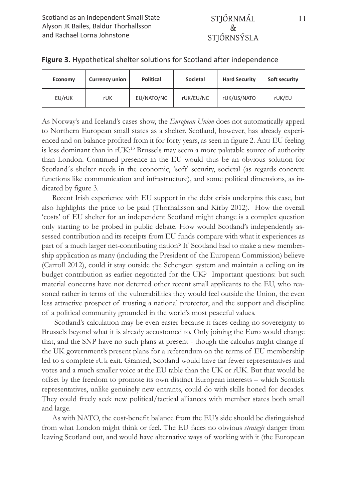| Economy | <b>Currency union</b> | Political  | Societal  | <b>Hard Security</b> | Soft security |
|---------|-----------------------|------------|-----------|----------------------|---------------|
| EU/rUK  | rUK                   | EU/NATO/NC | rUK/EU/NC | rUK/US/NATO          | rUK/EU        |

#### **Figure 3.** Hypothetical shelter solutions for Scotland after independence

As Norway's and Iceland's cases show, the *European Union* does not automatically appeal to Northern European small states as a shelter. Scotland, however, has already experienced and on balance profited from it for forty years, as seen in figure 2. Anti-EU feeling is less dominant than in rUK:13 Brussels may seem a more palatable source of authority than London. Continued presence in the EU would thus be an obvious solution for Scotland´s shelter needs in the economic, 'soft' security, societal (as regards concrete functions like communication and infrastructure), and some political dimensions, as indicated by figure 3.

Recent Irish experience with EU support in the debt crisis underpins this case, but also highlights the price to be paid (Thorhallsson and Kirby 2012). How the overall 'costs' of EU shelter for an independent Scotland might change is a complex question only starting to be probed in public debate. How would Scotland's independently assessed contribution and its receipts from EU funds compare with what it experiences as part of a much larger net-contributing nation? If Scotland had to make a new membership application as many (including the President of the European Commission) believe (Carroll 2012), could it stay outside the Schengen system and maintain a ceiling on its budget contribution as earlier negotiated for the UK? Important questions: but such material concerns have not deterred other recent small applicants to the EU, who reasoned rather in terms of the vulnerabilities they would feel outside the Union, the even less attractive prospect of trusting a national protector, and the support and discipline of a political community grounded in the world's most peaceful values.

 Scotland's calculation may be even easier because it faces ceding no sovereignty to Brussels beyond what it is already accustomed to. Only joining the Euro would change that, and the SNP have no such plans at present - though the calculus might change if the UK government's present plans for a referendum on the terms of EU membership led to a complete rUk exit. Granted, Scotland would have far fewer representatives and votes and a much smaller voice at the EU table than the UK or rUK. But that would be offset by the freedom to promote its own distinct European interests – which Scottish representatives, unlike genuinely new entrants, could do with skills honed for decades. They could freely seek new political/tactical alliances with member states both small and large.

As with NATO, the cost-benefit balance from the EU's side should be distinguished from what London might think or feel. The EU faces no obvious *strategic* danger from leaving Scotland out, and would have alternative ways of working with it (the European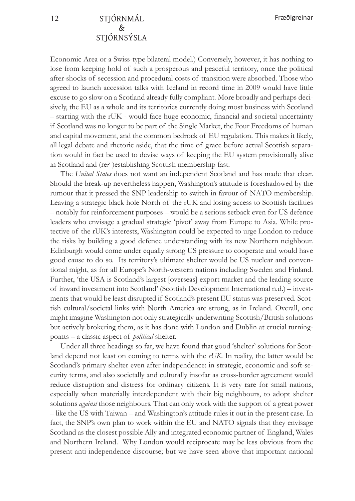## **12** STJÓRNMÁL  $\&$   $-$ STJÓRNSÝSLA

Economic Area or a Swiss-type bilateral model.) Conversely, however, it has nothing to lose from keeping hold of such a prosperous and peaceful territory, once the political after-shocks of secession and procedural costs of transition were absorbed. Those who agreed to launch accession talks with Iceland in record time in 2009 would have little excuse to go slow on a Scotland already fully compliant. More broadly and perhaps decisively, the EU as a whole and its territories currently doing most business with Scotland – starting with the rUK - would face huge economic, financial and societal uncertainty if Scotland was no longer to be part of the Single Market, the Four Freedoms of human and capital movement, and the common bedrock of EU regulation. This makes it likely, all legal debate and rhetoric aside, that the time of grace before actual Scottish separation would in fact be used to devise ways of keeping the EU system provisionally alive in Scotland and (re?-)establishing Scottish membership fast.

The *United States* does not want an independent Scotland and has made that clear. Should the break-up nevertheless happen, Washington's attitude is foreshadowed by the rumour that it pressed the SNP leadership to switch in favour of NATO membership. Leaving a strategic black hole North of the rUK and losing access to Scottish facilities – notably for reinforcement purposes – would be a serious setback even for US defence leaders who envisage a gradual strategic 'pivot' away from Europe to Asia. While protective of the rUK's interests, Washington could be expected to urge London to reduce the risks by building a good defence understanding with its new Northern neighbour. Edinburgh would come under equally strong US pressure to cooperate and would have good cause to do so. Its territory's ultimate shelter would be US nuclear and conventional might, as for all Europe's North-western nations including Sweden and Finland. Further, 'the USA is Scotland's largest [overseas] export market and the leading source of inward investment into Scotland' (Scottish Development International n.d.) – investments that would be least disrupted if Scotland's present EU status was preserved. Scottish cultural/societal links with North America are strong, as in Ireland. Overall, one might imagine Washington not only strategically underwriting Scottish/British solutions but actively brokering them, as it has done with London and Dublin at crucial turningpoints – a classic aspect of *political* shelter.

Under all three headings so far, we have found that good 'shelter' solutions for Scotland depend not least on coming to terms with the *rUK*. In reality, the latter would be Scotland's primary shelter even after independence: in strategic, economic and soft-security terms, and also societally and culturally insofar as cross-border agreement would reduce disruption and distress for ordinary citizens. It is very rare for small nations, especially when materially interdependent with their big neighbours, to adopt shelter solutions *against* those neighbours. That can only work with the support of a great power – like the US with Taiwan – and Washington's attitude rules it out in the present case. In fact, the SNP's own plan to work within the EU and NATO signals that they envisage Scotland as the closest possible Ally and integrated economic partner of England, Wales and Northern Ireland. Why London would reciprocate may be less obvious from the present anti-independence discourse; but we have seen above that important national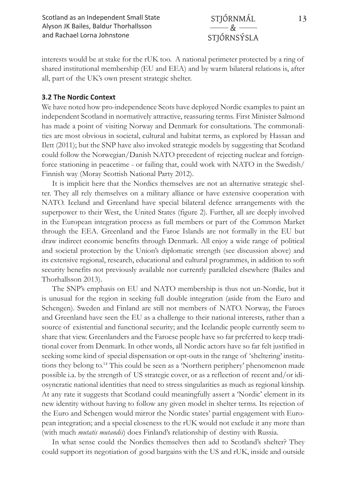interests would be at stake for the rUK too. A national perimeter protected by a ring of shared institutional membership (EU and EEA) and by warm bilateral relations is, after all, part of the UK's own present strategic shelter.

#### **3.2 The Nordic Context**

We have noted how pro-independence Scots have deployed Nordic examples to paint an independent Scotland in normatively attractive, reassuring terms. First Minister Salmond has made a point of visiting Norway and Denmark for consultations. The commonalities are most obvious in societal, cultural and habitat terms, as explored by Hassan and Ilett (2011); but the SNP have also invoked strategic models by suggesting that Scotland could follow the Norwegian/Danish NATO precedent of rejecting nuclear and foreignforce stationing in peacetime - or failing that, could work with NATO in the Swedish/ Finnish way (Moray Scottish National Party 2012).

It is implicit here that the Nordics themselves are not an alternative strategic shelter. They all rely themselves on a military alliance or have extensive cooperation with NATO. Iceland and Greenland have special bilateral defence arrangements with the superpower to their West, the United States (figure 2). Further, all are deeply involved in the European integration process as full members or part of the Common Market through the EEA. Greenland and the Faroe Islands are not formally in the EU but draw indirect economic benefits through Denmark. All enjoy a wide range of political and societal protection by the Union's diplomatic strength (see discussion above) and its extensive regional, research, educational and cultural programmes, in addition to soft security benefits not previously available nor currently paralleled elsewhere (Bailes and Thorhallsson 2013).

The SNP's emphasis on EU and NATO membership is thus not un-Nordic, but it is unusual for the region in seeking full double integration (aside from the Euro and Schengen). Sweden and Finland are still not members of NATO. Norway, the Faroes and Greenland have seen the EU as a challenge to their national interests, rather than a source of existential and functional security; and the Icelandic people currently seem to share that view. Greenlanders and the Faroese people have so far preferred to keep traditional cover from Denmark. In other words, all Nordic actors have so far felt justified in seeking some kind of special dispensation or opt-outs in the range of 'sheltering' institutions they belong to.14 This could be seen as a 'Northern periphery' phenomenon made possible i.a. by the strength of US strategic cover, or as a reflection of recent and/or idiosyncratic national identities that need to stress singularities as much as regional kinship. At any rate it suggests that Scotland could meaningfully assert a 'Nordic' element in its new identity without having to follow any given model in shelter terms. Its rejection of the Euro and Schengen would mirror the Nordic states' partial engagement with European integration; and a special closeness to the rUK would not exclude it any more than (with much *mutatis mutandis*) does Finland's relationship of destiny with Russia.

In what sense could the Nordics themselves then add to Scotland's shelter? They could support its negotiation of good bargains with the US and rUK, inside and outside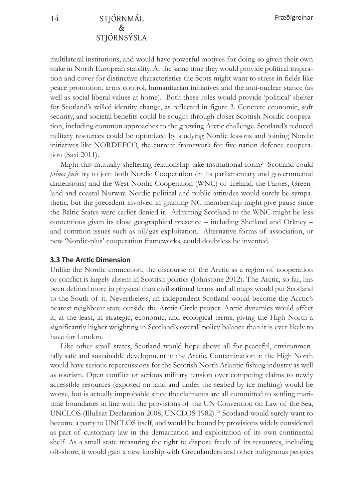multilateral institutions, and would have powerful motives for doing so given their own stake in North European stability. At the same time they would provide political inspiration and cover for distinctive characteristics the Scots might want to stress in fields like peace promotion, arms control, humanitarian initiatives and the anti-nuclear stance (as well as social-liberal values at home). Both these roles would provide 'political' shelter for Scotland's willed identity change, as reflected in figure 3. Concrete economic, soft security, and societal benefits could be sought through closer Scottish-Nordic cooperation, including common approaches to the growing Arctic challenge. Scotland's reduced military resources could be optimized by studying Nordic lessons and joining Nordic initiatives like NORDEFCO, the current framework for five-nation defence cooperation (Saxi 2011).

Might this mutually sheltering relationship take institutional form? Scotland could *prima facie* try to join both Nordic Cooperation (in its parliamentary and governmental dimensions) and the West Nordic Cooperation (WNC) of Iceland, the Faroes, Greenland and coastal Norway. Nordic political and public attitudes would surely be sympathetic, but the precedent involved in granting NC membership might give pause since the Baltic States were earlier denied it. Admitting Scotland to the WNC might be less contentious given its close geographical presence – including Shetland and Orkney – and common issues such as oil/gas exploitation. Alternative forms of association, or new 'Nordic-plus' cooperation frameworks, could doubtless be invented.

#### **3.3 The Arctic Dimension**

Unlike the Nordic connection, the discourse of the Arctic as a region of cooperation or conflict is largely absent in Scottish politics (Johnstone 2012). The Arctic, so far, has been defined more in physical than civilizational terms and all maps would put Scotland to the South of it. Nevertheless, an independent Scotland would become the Arctic's nearest neighbour state outside the Arctic Circle proper. Arctic dynamics would affect it, at the least, in strategic, economic, and ecological terms, giving the High North a significantly higher weighting in Scotland's overall policy balance than it is ever likely to have for London.

Like other small states, Scotland would hope above all for peaceful, environmentally safe and sustainable development in the Arctic. Contamination in the High North would have serious repercussions for the Scottish North Atlantic fishing industry as well as tourism. Open conflict or serious military tension over competing claims to newly accessible resources (exposed on land and under the seabed by ice melting) would be worse, but is actually improbable since the claimants are all committed to settling maritime boundaries in line with the provisions of the UN Convention on Law of the Sea, UNCLOS (Illulisat Declaration 2008; UNCLOS 1982).15 Scotland would surely want to become a party to UNCLOS itself, and would be bound by provisions widely considered as part of customary law in the demarcation and exploitation of its own continental shelf. As a small state treasuring the right to dispose freely of its resources, including off-shore, it would gain a new kinship with Greenlanders and other indigenous peoples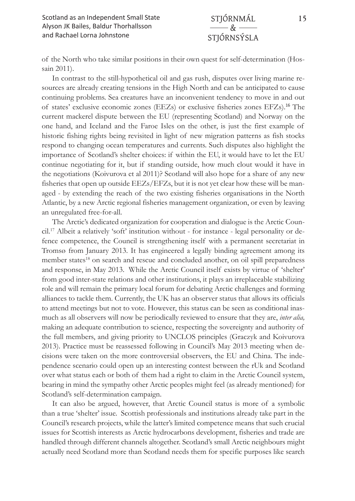of the North who take similar positions in their own quest for self-determination (Hossain 2011).

In contrast to the still-hypothetical oil and gas rush, disputes over living marine resources are already creating tensions in the High North and can be anticipated to cause continuing problems. Sea creatures have an inconvenient tendency to move in and out of states' exclusive economic zones (EEZs) or exclusive fisheries zones EFZs).<sup>16</sup> The current mackerel dispute between the EU (representing Scotland) and Norway on the one hand, and Iceland and the Faroe Isles on the other, is just the first example of historic fishing rights being revisited in light of new migration patterns as fish stocks respond to changing ocean temperatures and currents. Such disputes also highlight the importance of Scotland's shelter choices: if within the EU, it would have to let the EU continue negotiating for it, but if standing outside, how much clout would it have in the negotiations (Koivurova et al 2011)? Scotland will also hope for a share of any new fisheries that open up outside EEZs/EFZs, but it is not yet clear how these will be managed - by extending the reach of the two existing fisheries organisations in the North Atlantic, by a new Arctic regional fisheries management organization, or even by leaving an unregulated free-for-all.

The Arctic's dedicated organization for cooperation and dialogue is the Arctic Council.17 Albeit a relatively 'soft' institution without - for instance - legal personality or defence competence, the Council is strengthening itself with a permanent secretariat in Tromsø from January 2013. It has engineered a legally binding agreement among its member states<sup>18</sup> on search and rescue and concluded another, on oil spill preparedness and response, in May 2013. While the Arctic Council itself exists by virtue of 'shelter' from good inter-state relations and other institutions, it plays an irreplaceable stabilizing role and will remain the primary local forum for debating Arctic challenges and forming alliances to tackle them. Currently, the UK has an observer status that allows its officials to attend meetings but not to vote. However, this status can be seen as conditional inasmuch as all observers will now be periodically reviewed to ensure that they are, *inter alia,*  making an adequate contribution to science, respecting the sovereignty and authority of the full members, and giving priority to UNCLOS principles (Graczyk and Koivurova 2013). Practice must be reassessed following in Council's May 2013 meeting when decisions were taken on the more controversial observers, the EU and China. The independence scenario could open up an interesting contest between the rUk and Scotland over what status each or both of them had a right to claim in the Arctic Council system, bearing in mind the sympathy other Arctic peoples might feel (as already mentioned) for Scotland's self-determination campaign.

It can also be argued, however, that Arctic Council status is more of a symbolic than a true 'shelter' issue. Scottish professionals and institutions already take part in the Council's research projects, while the latter's limited competence means that such crucial issues for Scottish interests as Arctic hydrocarbons development, fisheries and trade are handled through different channels altogether. Scotland's small Arctic neighbours might actually need Scotland more than Scotland needs them for specific purposes like search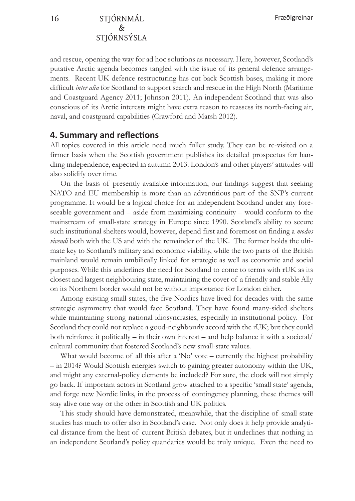and rescue, opening the way for ad hoc solutions as necessary. Here, however, Scotland's putative Arctic agenda becomes tangled with the issue of its general defence arrangements. Recent UK defence restructuring has cut back Scottish bases, making it more difficult *inter alia* for Scotland to support search and rescue in the High North (Maritime and Coastguard Agency 2011; Johnson 2011). An independent Scotland that was also conscious of its Arctic interests might have extra reason to reassess its north-facing air, naval, and coastguard capabilities (Crawford and Marsh 2012).

#### **4. Summary and reflections**

All topics covered in this article need much fuller study. They can be re-visited on a firmer basis when the Scottish government publishes its detailed prospectus for handling independence, expected in autumn 2013. London's and other players' attitudes will also solidify over time.

On the basis of presently available information, our findings suggest that seeking NATO and EU membership is more than an adventitious part of the SNP's current programme. It would be a logical choice for an independent Scotland under any foreseeable government and – aside from maximizing continuity – would conform to the mainstream of small-state strategy in Europe since 1990. Scotland's ability to secure such institutional shelters would, however, depend first and foremost on finding a *modus vivendi* both with the US and with the remainder of the UK. The former holds the ultimate key to Scotland's military and economic viability, while the two parts of the British mainland would remain umbilically linked for strategic as well as economic and social purposes. While this underlines the need for Scotland to come to terms with rUK as its closest and largest neighbouring state, maintaining the cover of a friendly and stable Ally on its Northern border would not be without importance for London either.

Among existing small states, the five Nordics have lived for decades with the same strategic asymmetry that would face Scotland. They have found many-sided shelters while maintaining strong national idiosyncrasies, especially in institutional policy. For Scotland they could not replace a good-neighbourly accord with the rUK; but they could both reinforce it politically – in their own interest – and help balance it with a societal/ cultural community that fostered Scotland's new small-state values.

What would become of all this after a 'No' vote – currently the highest probability – in 2014? Would Scottish energies switch to gaining greater autonomy within the UK, and might any external-policy elements be included? For sure, the clock will not simply go back. If important actors in Scotland grow attached to a specific 'small state' agenda, and forge new Nordic links, in the process of contingency planning, these themes will stay alive one way or the other in Scottish and UK politics.

This study should have demonstrated, meanwhile, that the discipline of small state studies has much to offer also in Scotland's case. Not only does it help provide analytical distance from the heat of current British debates, but it underlines that nothing in an independent Scotland's policy quandaries would be truly unique. Even the need to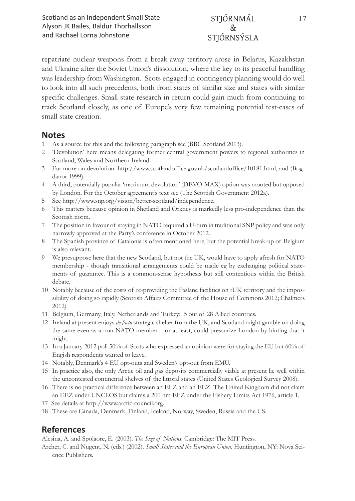repatriate nuclear weapons from a break-away territory arose in Belarus, Kazakhstan and Ukraine after the Soviet Union's dissolution, where the key to its peaceful handling was leadership from Washington. Scots engaged in contingency planning would do well to look into all such precedents, both from states of similar size and states with similar specific challenges. Small state research in return could gain much from continuing to track Scotland closely, as one of Europe's very few remaining potential test-cases of small state creation.

#### **Notes**

- 1 As a source for this and the following paragraph see (BBC Scotland 2013).
- 2 'Devolution' here means delegating former central government powers to regional authorities in Scotland, Wales and Northern Ireland.
- 3 For more on devolution: http://www.scotlandoffice.gov.uk/scotlandoffice/10181.html, and (Bogdanor 1999).
- 4 A third, potentially popular 'maximum devolution' (DEVO-MAX) option was mooted but opposed by London. For the October agreement's text see (The Scottish Government 2012a).
- 5 See http://www.snp.org/vision/better-scotland/independence.
- 6 This matters because opinion in Shetland and Orkney is markedly less pro-independence than the Scottish norm.
- 7 The position in favour of staying in NATO required a U-turn in traditional SNP policy and was only narrowly approved at the Party's conference in October 2012.
- 8 The Spanish province of Catalonia is often mentioned here, but the potential break-up of Belgium is also relevant.
- 9 We presuppose here that the new Scotland, but not the UK, would have to apply afresh for NATO membership - though transitional arrangements could be made eg by exchanging political statements of guarantee. This is a common-sense hypothesis but still contentious within the British debate.
- 10 Notably because of the costs of re-providing the Faslane facilities on rUK territory and the impossibility of doing so rapidly (Scottish Affairs Committee of the House of Commons 2012; Chalmers 2012)
- 11 Belgium, Germany, Italy, Netherlands and Turkey: 5 out of 28 Allied countries.
- 12 Ireland at present enjoys *de facto* strategic shelter from the UK, and Scotland might gamble on doing the same even as a non-NATO member – or at least, could pressurize London by hinting that it might.
- 13 In a January 2012 poll 50% of Scots who expressed an opinion were for staying the EU but 60% of Engish respondents wanted to leave.
- 14 Notably, Denmark's 4 EU opt-outs and Sweden's opt-out from EMU.
- 15 In practice also, the only Arctic oil and gas deposits commercially viable at present lie well within the uncontested continental shelves of the littoral states (United States Geological Survey 2008).
- 16 There is no practical difference between an EFZ and an EEZ. The United Kingdom did not claim an EEZ under UNCLOS but claims a 200 nm EFZ under the Fishery Limits Act 1976, article 1.
- 17 See details at http://www.arctic-council.org.
- 18 These are Canada, Denmark, Finland, Iceland, Norway, Sweden, Russia and the US.

## **References**

Alesina, A. and Spolaore, E. (2003). *The Size of Nations*. Cambridge: The MIT Press.

Archer, C. and Nugent, N. (eds.) (2002). *Small States and the European Union.* Huntington, NY: Nova Science Publishers.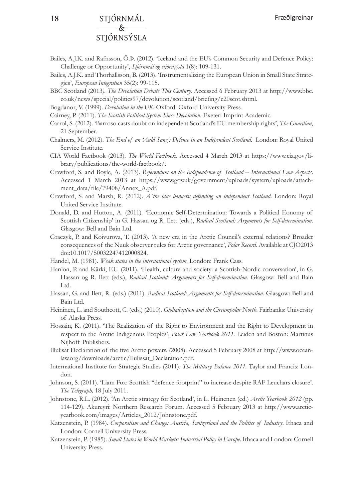#### **18** STJÓRNMÁL  $\mathcal{R}_{\mathbf{r}}$ STJÓRNSÝSLA

- Bailes, A.J.K. and Rafnsson, Ö.Þ. (2012). 'Iceland and the EU's Common Security and Defence Policy: Challenge or Opportunity', *Stjórnmál og stjórnsýsla* 1(8): 109-131.
- Bailes, A.J.K. and Thorhallsson, B. (2013). 'Instrumentalizing the European Union in Small State Strategies', *European Integration* 35(2): 99-115.
- BBC Scotland (2013*). The Devolution Debate This Century.* Accessed 6 February 2013 at http://www.bbc. co.uk/news/special/politics97/devolution/scotland/briefing/c20scot.shtml.
- Bogdanor, V. (1999). *Devolution in the UK*. Oxford: Oxford University Press.
- Cairney, P. (2011). *The Scottish Political System Since Devolution*. Exeter: Imprint Academic.
- Carrol, S. (2012). 'Barroso casts doubt on independent Scotland's EU membership rights', *The Guardian*, 21 September.
- Chalmers, M. (2012). *The End of an 'Auld Sang': Defence in an Independent Scotland.* London: Royal United Service Institute.
- CIA World Factbook (2013). *The World Factbook.* Accessed 4 March 2013 at https://www.cia.gov/library/publications/the-world-factbook/.
- Crawford, S. and Boyle, A. (2013). *Referendum on the Independence of Scotland International Law Aspects*. Accessed 1 March 2013 at https://www.gov.uk/government/uploads/system/uploads/attachment\_data/file/79408/Annex\_A.pdf.
- Crawford, S. and Marsh, R. (2012). *A´the blue bonnets: defending an independent Scotland*. London: Royal United Service Institute.
- Donald, D. and Hutton, A. (2011). 'Economic Self-Determination: Towards a Political Eonomy of Scottish Citizenship' in G. Hassan og R. Ilett (eds.), *Radical Scotland: Arguments for Self-determination*. Glasgow: Bell and Bain Ltd.
- Graczyk, P. and Koivurova, T. (2013). 'A new era in the Arctic Council's external relations? Broader consequences of the Nuuk observer rules for Arctic governance', *Polar Record.* Available at CJO2013 doi:10.1017/S0032247412000824.
- Handel, M. (1981). *Weak states in the international system*. London: Frank Cass.
- Hanlon, P. and Kärki, F.U. (2011). 'Health, culture and society: a Scottish-Nordic conversation', in G. Hassan og R. Ilett (eds.), *Radical Scotland: Arguments for Self-determination*. Glasgow: Bell and Bain Ltd.
- Hassan, G. and Ilett, R. (eds.) (2011). *Radical Scotland: Arguments for Self-determination*. Glasgow: Bell and Bain Ltd.
- Heininen, L. and Southcott, C. (eds.) (2010). *Globalization and the Circumpolar North*. Fairbanks: University of Alaska Press.
- Hossain, K. (2011). 'The Realization of the Right to Environment and the Right to Development in respect to the Arctic Indigenous Peoples', *Polar Law Yearbook 2011.* Leiden and Boston: Martinus Nijhoff Publishers.
- Illulisat Declaration of the five Arctic powers. (2008). Accessed 5 February 2008 at http://www.oceanlaw.org/downloads/arctic/Ilulissat\_Declaration.pdf.
- International Institute for Strategic Studies (2011). *The Military Balance 2011.* Taylor and Francis: London.
- Johnson, S. (2011). 'Liam Fox: Scottish "defence footprint" to increase despite RAF Leuchars closure'. *The Telegraph,* 18 July 2011.
- Johnstone, R.L. (2012). 'An Arctic strategy for Scotland', in L. Heinenen (ed.) *Arctic Yearbook 2012* (pp. 114-129). Akureyri: Northern Research Forum. Accessed 5 February 2013 at http://www.arcticyearbook.com/images/Articles\_2012/Johnstone.pdf.
- Katzenstein, P. (1984). *Corporatism and Change: Austria, Switzerland and the Politics of Industry*. Ithaca and London: Cornell University Press.
- Katzenstein, P. (1985). *Small States in World Markets: Industrial Policy in Europe*. Ithaca and London: Cornell University Press.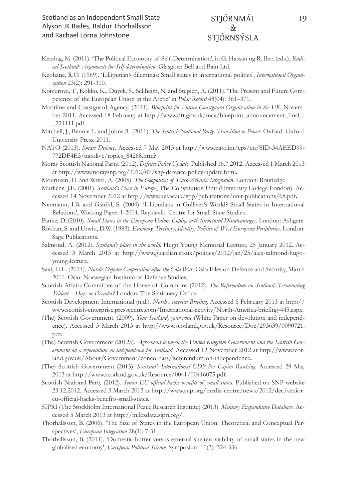- Keating, M. (2011). 'The Political Economy of Self-Determination', in G. Hassan og R. Ilett (eds.), *Radical Scotland: Arguments for Self-determination*. Glasgow: Bell and Bain Ltd.
- Keohane, R.O. (1969). 'Lilliputian's dilemmas: Small states in international politics', *International Organization* 23(2): 291-310.
- Koivurova, T., Kokko, K., Duyck, S., Sellheim, N. and Stepien, A. (2011). 'The Present and Future Competence of the European Union in the Arctic' in *Polar Record* 48(04): 361–371.
- Maritime and Coastguard Agency. (2011). *Blueprint for Future Coastguard Organisation in the UK*. November 2011. Accessed 18 February at http://www.dft.gov.uk/mca/blueprint\_announcement\_final\_- \_221111.pdf.
- Mitchell, J., Bennie L. and Johns R. (2011). *The Scottish National Party: Transition to Power*. Oxford: Oxford University Press, 2011.
- NATO (2013). *Smart Defence*. Accessed 7 May 2013 at http://www.nato.int/cps/en/SID-34AEED99- 772DF4E3/natolive/topics\_84268.htm?
- Moray Scottish National Party. (2012). *Defence Policy Update*. Published 16.7.2012. Accessed 1 March 2013 at http://www.moraysnp.org/2012/07/snp-defence-policy-update.html**.**

Mouritzen, H. and Wivel, A. (2005). *The Geopolitics of Euro-Atlantic Integration*. London: Routledge.

- Murkens, J.E. (2001). *Scotland's Place in Europe*, The Constitution Unit (University College London). Accessed 14 November 2012 at http://www.ucl.ac.uk/spp/publications/unit-publications/68.pdf**.**
- Neumann, I.B. and Gstöhl, S. (2004). 'Lilliputians in Gulliver's World? Small States in International Relations', Working Paper 1-2004. Reykjavik: Centre for Small State Studies.
- Panke, D. (2010). *Small States in the European Union: Coping with Structural Disadvantages*. London: Ashgate.
- Rokkan, S. and Urwin, D.W. (1983). *Economy, Territory, Identity: Politics of West European Peripheries*. London: Sage Publications.
- Salmond, A. (2012). *Scotland's place in the world*. Hugo Young Memorial Lecture, 25 January 2012. Accessed 3 March 2013 at http://www.guardian.co.uk/politics/2012/jan/25/alex-salmond-hugoyoung-lecture**.**
- Saxi, H.L. (2011). *Nordic Defence Cooperation after the Cold War*. Oslo Files on Defence and Security, March 2011. Oslo: Norwegian Institute of Defence Studies.
- Scottish Affairs Committee of the House of Commons (2012). *The Referendum on Scotland: Terminating Trident – Days or Decades?* London: The Stationery Office.
- Scottish Development International (n.d.). *North America Briefing*. Accessed 6 February 2013 at http:// www.scottish-enterprise.presscentre.com/International-activity/North-America-briefing-445.aspx.
- (The) Scottish Government. (2009). *Your Scotland, your voice* (White Paper on devolution and independence). Accessed 3 March 2013 at http://www.scotland.gov.uk/Resource/Doc/293639/0090721. pdf.
- (The) Scottish Government (2012a). *Agreement between the United Kingdom Government and the Scottish Government on a referendum on independence for Scotland*. Accessed 12 November 2012 at http://www.scotland.gov.uk/About/Government/concordats/Referendum-on-independence**.**
- (The) Scottish Government (2013). *Scotland's International GDP Per Capita Ranking*. Accessed 29 May 2013 at http://www.scotland.gov.uk/Resource/0041/00416075.pdf.
- Scottish National Party (2012). *Senior EU official backs benefits of small states*. Published on SNP website 23.12.2012. Accessed 3 March 2013 at http://www.snp.org/media-centre/news/2012/dec/senioreu-official-backs-benefits-small-states.
- SIPRI (The Stockholm International Peace Research Institute) (2013). *Military Expenditure Database*. Accessed 5 March 2013 at http://milexdata.sipri.org/.
- Thorhallsson, B. (2006). 'The Size of States in the European Union: Theoretical and Conceptual Perspectives', *European Integration* 28(1): 7-31.
- Thorhallsson, B. (2011). 'Domestic buffer versus external shelter: viability of small states in the new globalised economy', *European Political Science,* Symposium 10(3): 324-336.